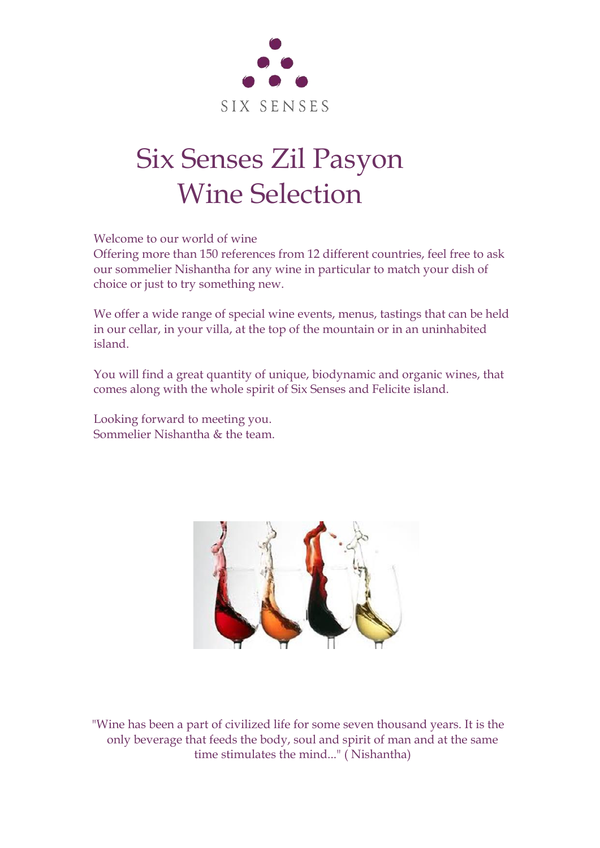

# Six Senses Zil Pasyon Wine Selection

Welcome to our world of wine

Offering more than 150 references from 12 different countries, feel free to ask our sommelier Nishantha for any wine in particular to match your dish of choice or just to try something new.

We offer a wide range of special wine events, menus, tastings that can be held in our cellar, in your villa, at the top of the mountain or in an uninhabited island.

You will find a great quantity of unique, biodynamic and organic wines, that comes along with the whole spirit of Six Senses and Felicite island.

Looking forward to meeting you. Sommelier Nishantha & the team.



"Wine has been a part of civilized life for some seven thousand years. It is the only beverage that feeds the body, soul and spirit of man and at the same time stimulates the mind..." ( Nishantha)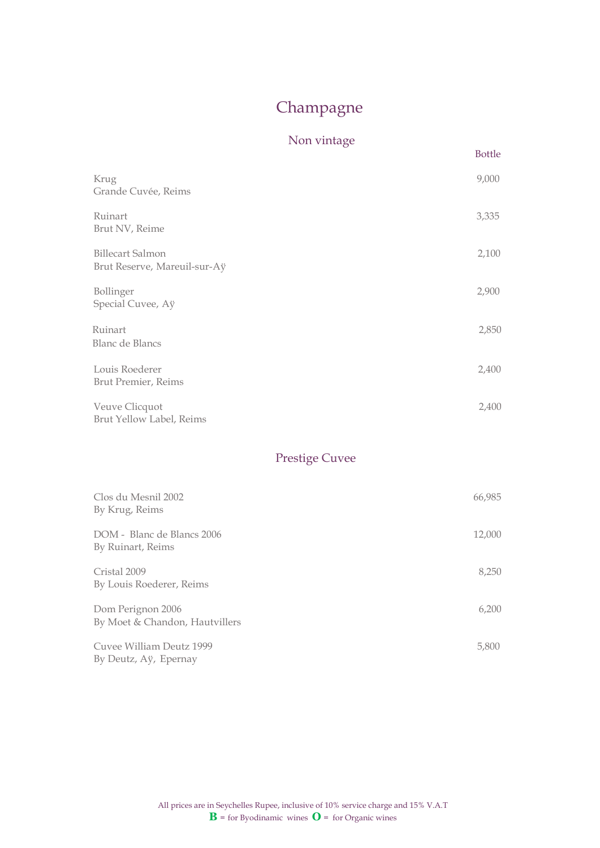# Champagne

## Non vintage

**Bottle** 

| Krug<br>Grande Cuvée, Reims                      | 9,000 |
|--------------------------------------------------|-------|
| Ruinart<br>Brut NV, Reime                        | 3,335 |
| Billecart Salmon<br>Brut Reserve, Mareuil-sur-Aÿ | 2,100 |
| Bollinger<br>Special Cuvee, Aÿ                   | 2,900 |
| Ruinart<br>Blanc de Blancs                       | 2,850 |
| Louis Roederer<br>Brut Premier, Reims            | 2,400 |
| Veuve Clicquot<br>Brut Yellow Label, Reims       | 2,400 |

## Prestige Cuvee

| Clos du Mesnil 2002<br>By Krug, Reims               | 66,985 |
|-----------------------------------------------------|--------|
| DOM - Blanc de Blancs 2006<br>By Ruinart, Reims     | 12,000 |
| Cristal 2009<br>By Louis Roederer, Reims            | 8,250  |
| Dom Perignon 2006<br>By Moet & Chandon, Hautvillers | 6,200  |
| Cuvee William Deutz 1999<br>By Deutz, Aÿ, Epernay   | 5,800  |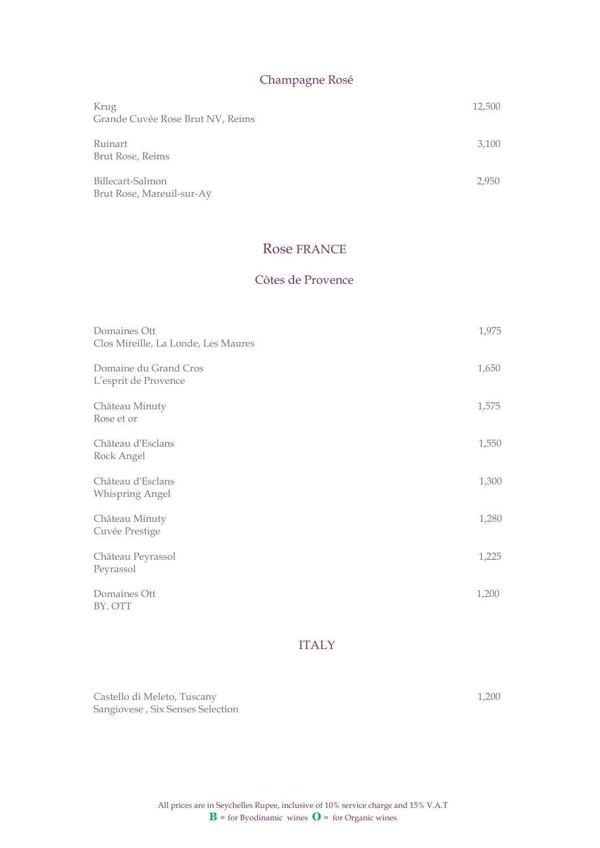## Champagne Rosé

| Krug<br>Grande Cuvée Rose Brut NV, Reims      | 12,500 |
|-----------------------------------------------|--------|
| Ruinart<br>Brut Rose, Reims                   | 3,100  |
| Billecart-Salmon<br>Brut Rose, Mareuil-sur-Aÿ | 2,950  |

## Rose FRANCE

#### Côtes de Provence

| Domaines Ott<br>Clos Mireille, La Londe, Les Maures | 1,975 |
|-----------------------------------------------------|-------|
| Domaine du Grand Cros<br>L'esprit de Provence       | 1,650 |
| Château Minuty<br>Rose et or                        | 1,575 |
| Château d'Esclans<br>Rock Angel                     | 1,550 |
| Château d'Esclans<br>Whispring Angel                | 1,300 |
| Château Minuty<br>Cuvée Prestige                    | 1,280 |
| Château Peyrassol<br>Peyrassol                      | 1,225 |
| Domaines Ott<br>BY. OTT                             | 1,200 |

#### ITALY

Castello di Meleto, Tuscany 1,200 Sangiovese , Six Senses Selection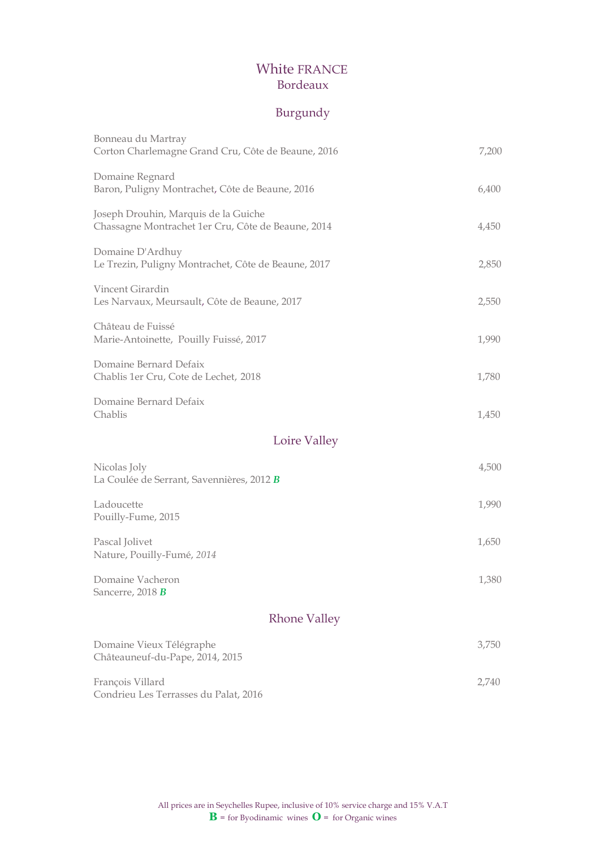## White FRANCE Bordeaux

## Burgundy

| Bonneau du Martray<br>Corton Charlemagne Grand Cru, Côte de Beaune, 2016                   | 7,200 |
|--------------------------------------------------------------------------------------------|-------|
| Domaine Regnard<br>Baron, Puligny Montrachet, Côte de Beaune, 2016                         | 6,400 |
| Joseph Drouhin, Marquis de la Guiche<br>Chassagne Montrachet 1er Cru, Côte de Beaune, 2014 | 4,450 |
| Domaine D'Ardhuy<br>Le Trezin, Puligny Montrachet, Côte de Beaune, 2017                    | 2,850 |
| Vincent Girardin<br>Les Narvaux, Meursault, Côte de Beaune, 2017                           | 2,550 |
| Château de Fuissé<br>Marie-Antoinette, Pouilly Fuissé, 2017                                | 1,990 |
| Domaine Bernard Defaix<br>Chablis 1er Cru, Cote de Lechet, 2018                            | 1,780 |
| Domaine Bernard Defaix<br>Chablis                                                          | 1,450 |
| Loire Valley                                                                               |       |
| Nicolas Joly<br>La Coulée de Serrant, Savennières, 2012 B                                  | 4,500 |
| Ladoucette<br>Pouilly-Fume, 2015                                                           | 1,990 |
| Pascal Jolivet<br>Nature, Pouilly-Fumé, 2014                                               | 1,650 |
| Domaine Vacheron<br>Sancerre, 2018 B                                                       | 1,380 |
| <b>Rhone Valley</b>                                                                        |       |
| Domaine Vieux Télégraphe<br>Châteauneuf-du-Pape, 2014, 2015                                | 3,750 |
| François Villard<br>Condrieu Les Terrasses du Palat, 2016                                  | 2,740 |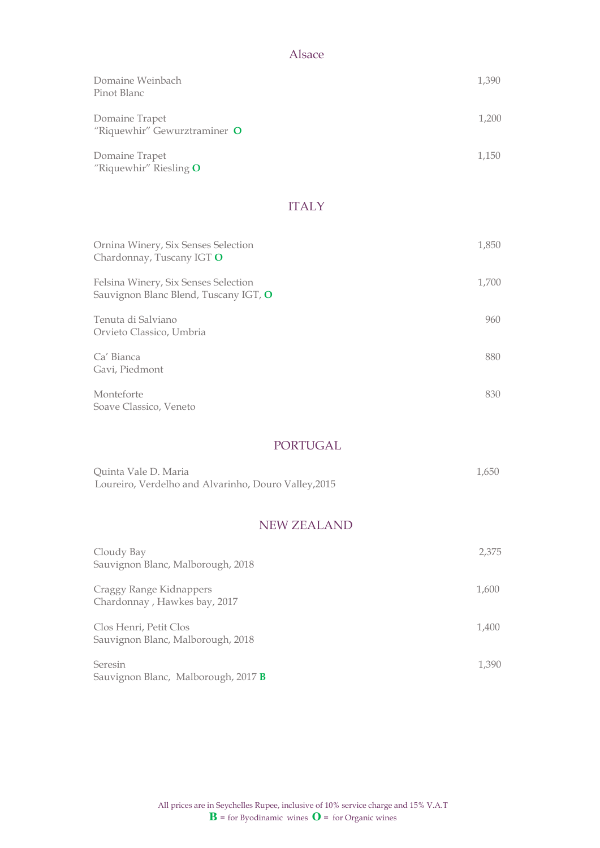## Alsace

| Domaine Weinbach<br>Pinot Blanc                | 1,390 |
|------------------------------------------------|-------|
| Domaine Trapet<br>"Riquewhir" Gewurztraminer O | 1,200 |
| Domaine Trapet<br>"Riquewhir" Riesling $O$     | 1,150 |

## ITALY

| Ornina Winery, Six Senses Selection<br>Chardonnay, Tuscany IGT O              | 1,850 |
|-------------------------------------------------------------------------------|-------|
| Felsina Winery, Six Senses Selection<br>Sauvignon Blanc Blend, Tuscany IGT, O | 1,700 |
| Tenuta di Salviano<br>Orvieto Classico, Umbria                                | 960   |
| Ca' Bianca<br>Gavi, Piedmont                                                  | 880   |
| Monteforte<br>Soave Classico, Veneto                                          | 830   |

#### PORTUGAL

| Quinta Vale D. Maria                                 | 1.650 |
|------------------------------------------------------|-------|
| Loureiro, Verdelho and Alvarinho, Douro Valley, 2015 |       |

## NEW ZEALAND

| Cloudy Bay<br>Sauvignon Blanc, Malborough, 2018             | 2,375 |
|-------------------------------------------------------------|-------|
| Craggy Range Kidnappers<br>Chardonnay, Hawkes bay, 2017     | 1,600 |
| Clos Henri, Petit Clos<br>Sauvignon Blanc, Malborough, 2018 | 1,400 |
| Seresin<br>Sauvignon Blanc, Malborough, 2017 B              | 1,390 |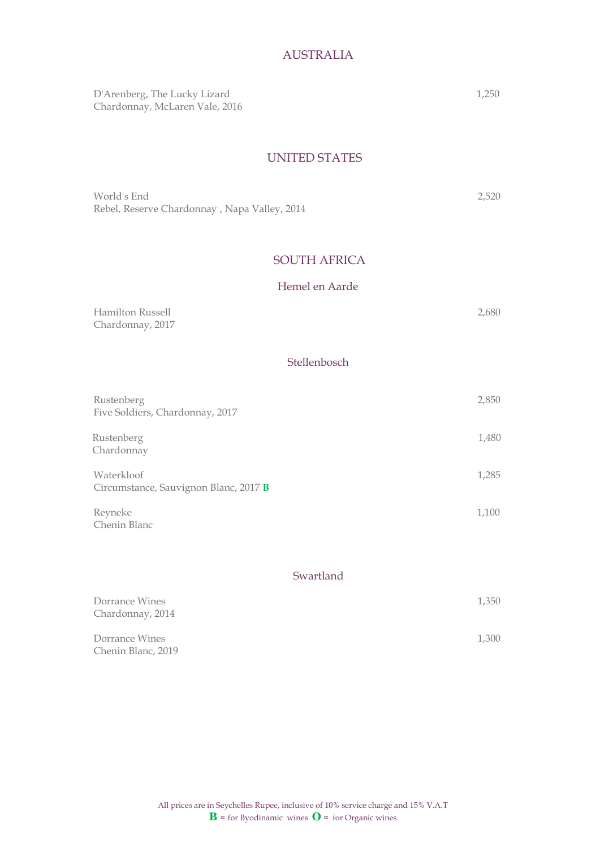## AUSTRALIA

D'Arenberg, The Lucky Lizard 1,250 Chardonnay, McLaren Vale, 2016

#### UNITED STATES

| World's End                                  | 2.520 |
|----------------------------------------------|-------|
| Rebel, Reserve Chardonnay, Napa Valley, 2014 |       |

## SOUTH AFRICA

#### Hemel en Aarde

| Hamilton Russell | 2,680 |
|------------------|-------|
| Chardonnay, 2017 |       |

## Stellenbosch

| Rustenberg<br>Five Soldiers, Chardonnay, 2017       | 2,850 |
|-----------------------------------------------------|-------|
| Rustenberg<br>Chardonnay                            | 1,480 |
| Waterkloof<br>Circumstance, Sauvignon Blanc, 2017 B | 1,285 |
| Reyneke<br>Chenin Blanc                             | 1,100 |

#### Swartland

| Dorrance Wines<br>Chardonnay, 2014   | 1,350 |
|--------------------------------------|-------|
| Dorrance Wines<br>Chenin Blanc, 2019 | 1,300 |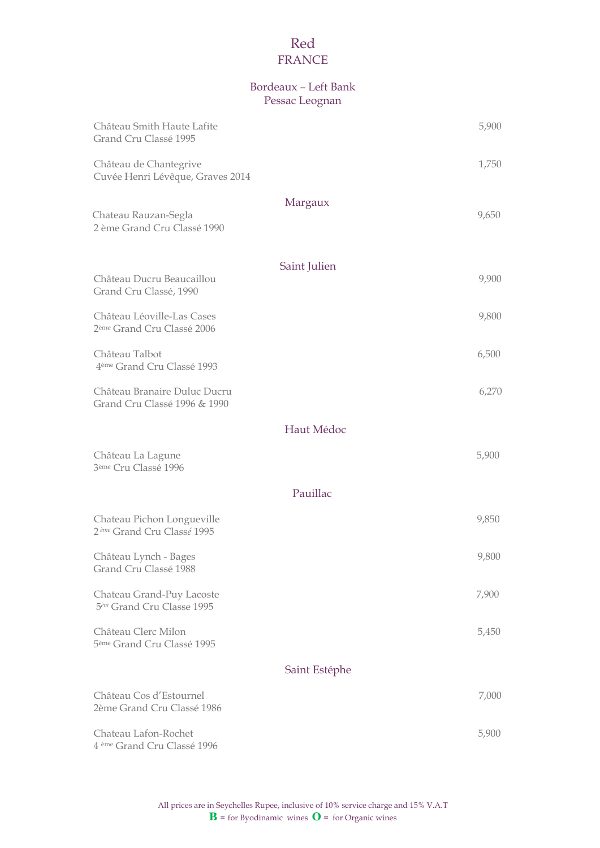## Red FRANCE

## Bordeaux – Left Bank Pessac Leognan

| Château Smith Haute Lafite<br>Grand Cru Classé 1995                  |               | 5,900 |
|----------------------------------------------------------------------|---------------|-------|
| Château de Chantegrive<br>Cuvée Henri Lévêque, Graves 2014           |               | 1,750 |
| Chateau Rauzan-Segla<br>2 ème Grand Cru Classé 1990                  | Margaux       | 9,650 |
| Château Ducru Beaucaillou<br>Grand Cru Classé, 1990                  | Saint Julien  | 9,900 |
| Château Léoville-Las Cases<br>2 <sup>ème</sup> Grand Cru Classé 2006 |               | 9,800 |
| Château Talbot<br>4 <sup>ème</sup> Grand Cru Classé 1993             |               | 6,500 |
| Château Branaire Duluc Ducru<br>Grand Cru Classé 1996 & 1990         |               | 6,270 |
|                                                                      | Haut Médoc    |       |
| Château La Lagune<br>3 <sup>ème</sup> Cru Classé 1996                |               | 5,900 |
|                                                                      | Pauillac      |       |
| Chateau Pichon Longueville<br>2 <sup>ème</sup> Grand Cru Classé 1995 |               | 9,850 |
| Château Lynch - Bages<br>Grand Cru Classé 1988                       |               | 9,800 |
| Chateau Grand-Puy Lacoste<br>5 <sup>èm</sup> Grand Cru Classe 1995   |               | 7,900 |
| Château Clerc Milon<br>5 <sup>ème</sup> Grand Cru Classé 1995        |               | 5,450 |
|                                                                      | Saint Estéphe |       |
| Château Cos d'Estournel<br>2ème Grand Cru Classé 1986                |               | 7,000 |
| Chateau Lafon-Rochet<br>4 <sup>ème</sup> Grand Cru Classé 1996       |               | 5,900 |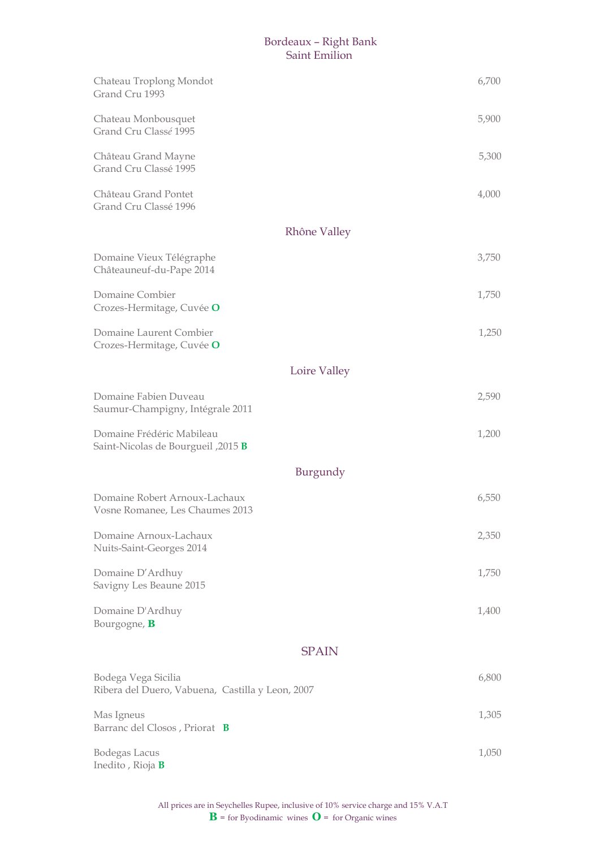## Bordeaux – Right Bank Saint Emilion

| Chateau Troplong Mondot<br>Grand Cru 1993                               |              | 6,700 |
|-------------------------------------------------------------------------|--------------|-------|
| Chateau Monbousquet<br>Grand Cru Classé 1995                            |              | 5,900 |
| Château Grand Mayne<br>Grand Cru Classé 1995                            |              | 5,300 |
| Château Grand Pontet<br>Grand Cru Classé 1996                           |              | 4,000 |
|                                                                         | Rhône Valley |       |
| Domaine Vieux Télégraphe<br>Châteauneuf-du-Pape 2014                    |              | 3,750 |
| Domaine Combier<br>Crozes-Hermitage, Cuvée O                            |              | 1,750 |
| Domaine Laurent Combier<br>Crozes-Hermitage, Cuvée O                    |              | 1,250 |
|                                                                         | Loire Valley |       |
| Domaine Fabien Duveau<br>Saumur-Champigny, Intégrale 2011               |              | 2,590 |
| Domaine Frédéric Mabileau<br>Saint-Nicolas de Bourgueil, 2015 B         |              | 1,200 |
|                                                                         | Burgundy     |       |
| Domaine Robert Arnoux-Lachaux<br>Vosne Romanee, Les Chaumes 2013        |              | 6,550 |
| Domaine Arnoux-Lachaux<br>Nuits-Saint-Georges 2014                      |              | 2,350 |
| Domaine D'Ardhuy<br>Savigny Les Beaune 2015                             |              | 1,750 |
| Domaine D'Ardhuy<br>Bourgogne, B                                        |              | 1,400 |
|                                                                         | <b>SPAIN</b> |       |
| Bodega Vega Sicilia<br>Ribera del Duero, Vabuena, Castilla y Leon, 2007 |              | 6,800 |
| Mas Igneus<br>Barranc del Closos, Priorat B                             |              | 1,305 |
| <b>Bodegas Lacus</b><br>Inedito, Rioja <b>B</b>                         |              | 1,050 |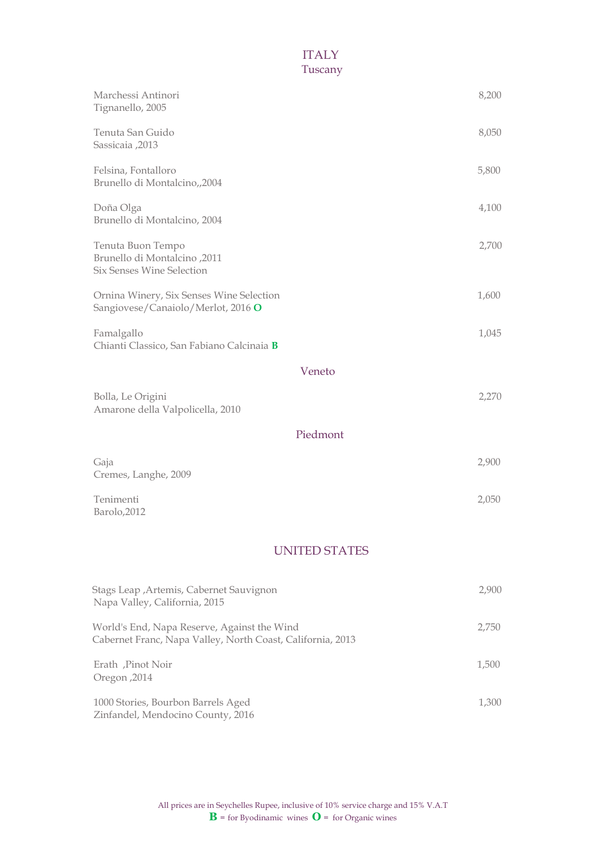## **ITALY** Tuscany

| Marchessi Antinori                                                | 8,200 |
|-------------------------------------------------------------------|-------|
| Tignanello, 2005                                                  |       |
| Tenuta San Guido                                                  | 8,050 |
| Sassicaia ,2013                                                   |       |
| Felsina, Fontalloro                                               | 5,800 |
| Brunello di Montalcino,,2004                                      |       |
| Doña Olga                                                         | 4,100 |
| Brunello di Montalcino, 2004                                      |       |
| Tenuta Buon Tempo                                                 | 2,700 |
| <b>Brunello di Montalcino</b> , 2011<br>Six Senses Wine Selection |       |
| Ornina Winery, Six Senses Wine Selection                          | 1,600 |
| Sangiovese/Canaiolo/Merlot, 2016 O                                |       |
| Famalgallo                                                        | 1,045 |
| Chianti Classico, San Fabiano Calcinaia B                         |       |
| Veneto                                                            |       |
| Bolla, Le Origini                                                 | 2,270 |
| Amarone della Valpolicella, 2010                                  |       |
| Piedmont                                                          |       |
| Gaja                                                              | 2,900 |
| Cremes, Langhe, 2009                                              |       |
| Tenimenti                                                         | 2,050 |
| Barolo, 2012                                                      |       |
| <b>UNITED STATES</b>                                              |       |
|                                                                   |       |
| Stags Leap , Artemis, Cabernet Sauvignon                          | 2,900 |
| Napa Valley, California, 2015                                     |       |

| World's End, Napa Reserve, Against the Wind<br>Cabernet Franc, Napa Valley, North Coast, California, 2013 | 2,750 |
|-----------------------------------------------------------------------------------------------------------|-------|
| Erath, Pinot Noir<br>Oregon, 2014                                                                         | 1,500 |
| 1000 Stories, Bourbon Barrels Aged<br>Zinfandel, Mendocino County, 2016                                   | 1,300 |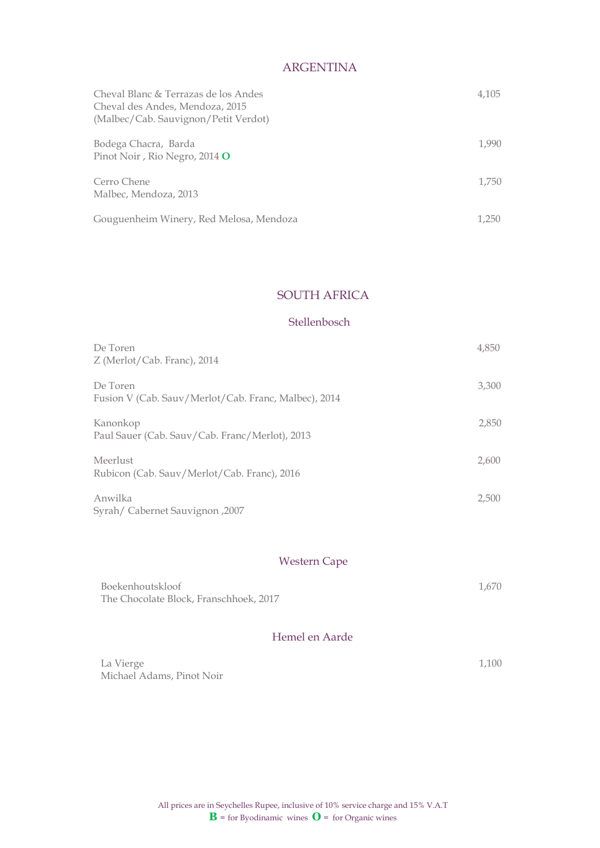## ARGENTINA

| Cheval Blanc & Terrazas de los Andes<br>Cheval des Andes, Mendoza, 2015<br>(Malbec/Cab. Sauvignon/Petit Verdot) | 4,105 |
|-----------------------------------------------------------------------------------------------------------------|-------|
| Bodega Chacra, Barda<br>Pinot Noir, Rio Negro, 2014 O                                                           | 1,990 |
| Cerro Chene<br>Malbec, Mendoza, 2013                                                                            | 1,750 |
| Gouguenheim Winery, Red Melosa, Mendoza                                                                         | 1,250 |

## SOUTH AFRICA

#### Stellenbosch

| De Toren                                             | 4,850 |
|------------------------------------------------------|-------|
| Z (Merlot/Cab. Franc), 2014                          |       |
| De Toren                                             | 3,300 |
| Fusion V (Cab. Sauv/Merlot/Cab. Franc, Malbec), 2014 |       |
| Kanonkop                                             | 2,850 |
| Paul Sauer (Cab. Sauv/Cab. Franc/Merlot), 2013       |       |
| Meerlust                                             | 2.600 |
| Rubicon (Cab. Sauv/Merlot/Cab. Franc), 2016          |       |
| Anwilka                                              | 2.500 |
| Syrah/ Cabernet Sauvignon, 2007                      |       |

## Western Cape

| Boekenhoutskloof                       | 1.670 |
|----------------------------------------|-------|
| The Chocolate Block, Franschhoek, 2017 |       |

## Hemel en Aarde

| La Vierge                 | 1,100 |
|---------------------------|-------|
| Michael Adams, Pinot Noir |       |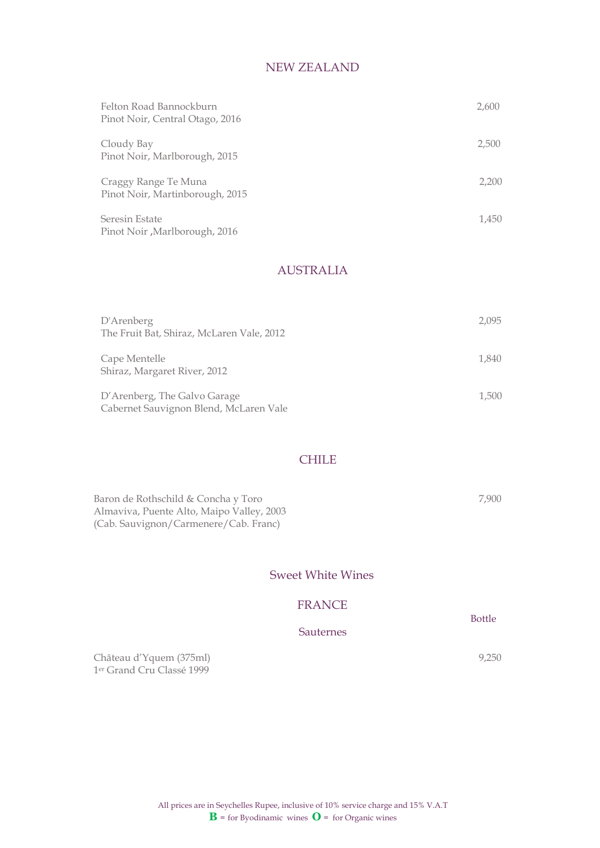## NEW ZEALAND

| Felton Road Bannockburn<br>Pinot Noir, Central Otago, 2016 | 2,600 |
|------------------------------------------------------------|-------|
| Cloudy Bay<br>Pinot Noir, Marlborough, 2015                | 2,500 |
| Craggy Range Te Muna<br>Pinot Noir, Martinborough, 2015    | 2,200 |
| Seresin Estate<br>Pinot Noir, Marlborough, 2016            | 1,450 |

## AUSTRALIA

| D'Arenberg<br>The Fruit Bat, Shiraz, McLaren Vale, 2012                | 2.095 |
|------------------------------------------------------------------------|-------|
| Cape Mentelle<br>Shiraz, Margaret River, 2012                          | 1,840 |
| D'Arenberg, The Galvo Garage<br>Cabernet Sauvignon Blend, McLaren Vale | 1,500 |

#### **CHILE**

| Baron de Rothschild & Concha y Toro       | 7.900 |
|-------------------------------------------|-------|
| Almaviva, Puente Alto, Maipo Valley, 2003 |       |
| (Cab. Sauvignon/Carmenere/Cab. Franc)     |       |

#### Sweet White Wines

#### FRANCE

Sauternes

Château d'Yquem (375ml) 9,250 1 er Grand Cru Classé 1999

> All prices are in Seychelles Rupee, inclusive of 10% service charge and 15% V.A.T  $\mathbf{B}$  = for Byodinamic wines  $\mathbf{O}$  = for Organic wines

**Bottle** Bottle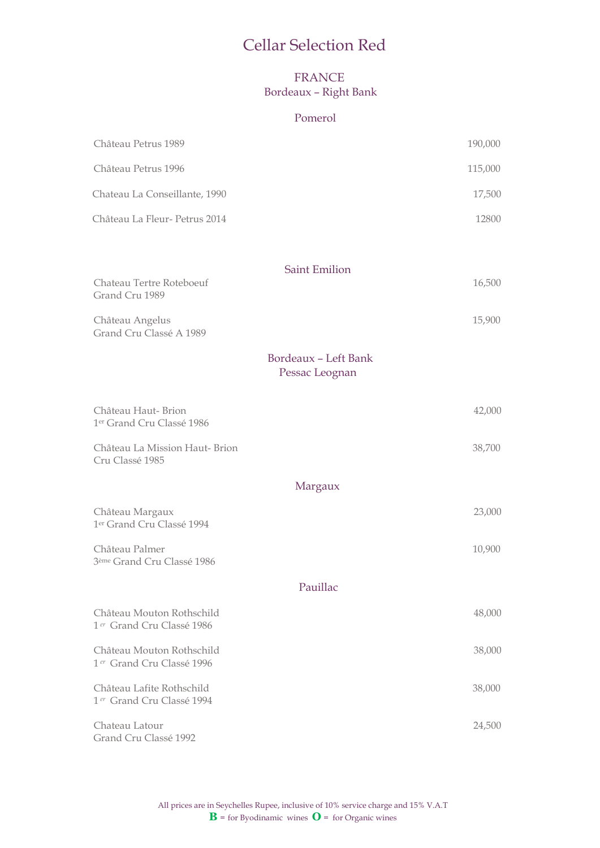## Cellar Selection Red

## FRANCE Bordeaux – Right Bank

#### Pomerol

| Château Petrus 1989                                                |                                        | 190,000 |
|--------------------------------------------------------------------|----------------------------------------|---------|
| Château Petrus 1996                                                |                                        | 115,000 |
| Chateau La Conseillante, 1990                                      |                                        | 17,500  |
| Château La Fleur- Petrus 2014                                      |                                        | 12800   |
|                                                                    |                                        |         |
|                                                                    | <b>Saint Emilion</b>                   |         |
| Chateau Tertre Roteboeuf<br>Grand Cru 1989                         |                                        | 16,500  |
| Château Angelus<br>Grand Cru Classé A 1989                         |                                        | 15,900  |
|                                                                    | Bordeaux - Left Bank<br>Pessac Leognan |         |
| Château Haut-Brion<br>1 <sup>er</sup> Grand Cru Classé 1986        |                                        | 42,000  |
| Château La Mission Haut- Brion<br>Cru Classé 1985                  |                                        | 38,700  |
|                                                                    | Margaux                                |         |
| Château Margaux<br>1er Grand Cru Classé 1994                       |                                        | 23,000  |
| Château Palmer<br>3 <sup>ème</sup> Grand Cru Classé 1986           |                                        | 10,900  |
|                                                                    | Pauillac                               |         |
| Château Mouton Rothschild<br>1 <sup>er</sup> Grand Cru Classé 1986 |                                        | 48,000  |
| Château Mouton Rothschild<br>1 <sup>er</sup> Grand Cru Classé 1996 |                                        | 38,000  |
| Château Lafite Rothschild<br>1 <sup>er</sup> Grand Cru Classé 1994 |                                        | 38,000  |
| Chateau Latour<br>Grand Cru Classé 1992                            |                                        | 24,500  |